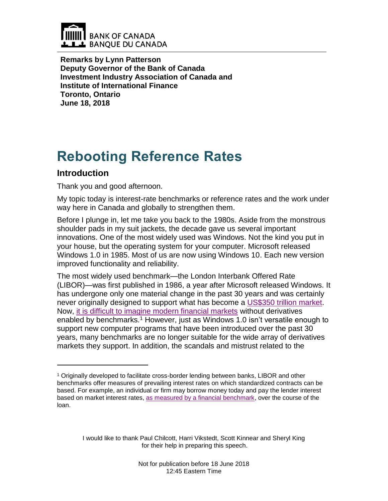

**Remarks by Lynn Patterson Deputy Governor of the Bank of Canada Investment Industry Association of Canada and Institute of International Finance Toronto, Ontario June 18, 2018**

# **Rebooting Reference Rates**

## **Introduction**

 $\overline{a}$ 

Thank you and good afternoon.

My topic today is interest-rate benchmarks or reference rates and the work under way here in Canada and globally to strengthen them.

Before I plunge in, let me take you back to the 1980s. Aside from the monstrous shoulder pads in my suit jackets, the decade gave us several important innovations. One of the most widely used was Windows. Not the kind you put in your house, but the operating system for your computer. Microsoft released Windows 1.0 in 1985. Most of us are now using Windows 10. Each new version improved functionality and reliability.

The most widely used benchmark—the London Interbank Offered Rate (LIBOR)—was first published in 1986, a year after Microsoft released Windows. It has undergone only one material change in the past 30 years and was certainly never originally designed to support what has become a [US\\$350 trillion market.](https://www.theice.com/publicdocs/ICE_LIBOR_Roadmap0316.pdf) Now, [it is difficult to imagine modern financial markets](https://www.bankofcanada.ca/?p=171621) without derivatives enabled by benchmarks.<sup>1</sup> However, just as Windows 1.0 isn't versatile enough to support new computer programs that have been introduced over the past 30 years, many benchmarks are no longer suitable for the wide array of derivatives markets they support. In addition, the scandals and mistrust related to the

I would like to thank Paul Chilcott, Harri Vikstedt, Scott Kinnear and Sheryl King for their help in preparing this speech.

<sup>1</sup> Originally developed to facilitate cross-border lending between banks, LIBOR and other benchmarks offer measures of prevailing interest rates on which standardized contracts can be based. For example, an individual or firm may borrow money today and pay the lender interest based on market interest rates, [as measured by a financial benchmark,](https://www.bankofcanada.ca/?p=171621) over the course of the loan.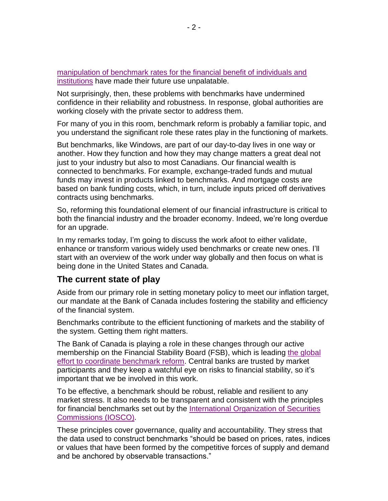[manipulation of benchmark rates for the financial benefit of individuals and](https://www.newyorkfed.org/newsevents/speeches/2018/dud180524)  [institutions](https://www.newyorkfed.org/newsevents/speeches/2018/dud180524) have made their future use unpalatable.

Not surprisingly, then, these problems with benchmarks have undermined confidence in their reliability and robustness. In response, global authorities are working closely with the private sector to address them.

For many of you in this room, benchmark reform is probably a familiar topic, and you understand the significant role these rates play in the functioning of markets.

But benchmarks, like Windows, are part of our day-to-day lives in one way or another. How they function and how they may change matters a great deal not just to your industry but also to most Canadians. Our financial wealth is connected to benchmarks. For example, exchange-traded funds and mutual funds may invest in products linked to benchmarks. And mortgage costs are based on bank funding costs, which, in turn, include inputs priced off derivatives contracts using benchmarks.

So, reforming this foundational element of our financial infrastructure is critical to both the financial industry and the broader economy. Indeed, we're long overdue for an upgrade.

In my remarks today, I'm going to discuss the work afoot to either validate, enhance or transform various widely used benchmarks or create new ones. I'll start with an overview of the work under way globally and then focus on what is being done in the United States and Canada.

#### **The current state of play**

Aside from our primary role in setting monetary policy to meet our inflation target, our mandate at the Bank of Canada includes fostering the stability and efficiency of the financial system.

Benchmarks contribute to the efficient functioning of markets and the stability of the system. Getting them right matters.

The Bank of Canada is playing a role in these changes through our active membership on the Financial Stability Board (FSB), which is leading [the global](http://www.fsb.org/what-we-do/policy-development/additional-policy-areas/reforming-financial-benchmarks/)  [effort to coordinate benchmark reform.](http://www.fsb.org/what-we-do/policy-development/additional-policy-areas/reforming-financial-benchmarks/) Central banks are trusted by market participants and they keep a watchful eye on risks to financial stability, so it's important that we be involved in this work.

To be effective, a benchmark should be robust, reliable and resilient to any market stress. It also needs to be transparent and consistent with the principles for financial benchmarks set out by the [International Organization of Securities](http://www.iosco.org/library/pubdocs/pdf/IOSCOPD415.pdf)  [Commissions \(IOSCO\).](http://www.iosco.org/library/pubdocs/pdf/IOSCOPD415.pdf)

These principles cover governance, quality and accountability. They stress that the data used to construct benchmarks "should be based on prices, rates, indices or values that have been formed by the competitive forces of supply and demand and be anchored by observable transactions."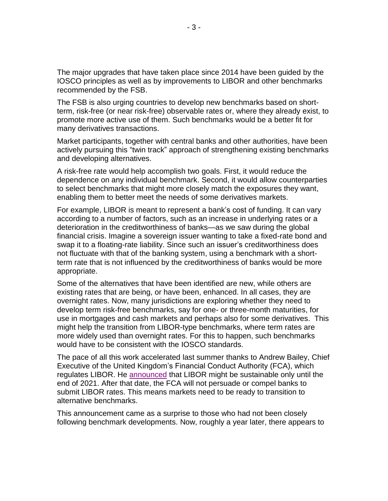The major upgrades that have taken place since 2014 have been guided by the IOSCO principles as well as by improvements to LIBOR and other benchmarks recommended by the FSB.

The FSB is also urging countries to develop new benchmarks based on shortterm, risk-free (or near risk-free) observable rates or, where they already exist, to promote more active use of them. Such benchmarks would be a better fit for many derivatives transactions.

Market participants, together with central banks and other authorities, have been actively pursuing this "twin track" approach of strengthening existing benchmarks and developing alternatives.

A risk-free rate would help accomplish two goals. First, it would reduce the dependence on any individual benchmark. Second, it would allow counterparties to select benchmarks that might more closely match the exposures they want, enabling them to better meet the needs of some derivatives markets.

For example, LIBOR is meant to represent a bank's cost of funding. It can vary according to a number of factors, such as an increase in underlying rates or a deterioration in the creditworthiness of banks—as we saw during the global financial crisis. Imagine a sovereign issuer wanting to take a fixed-rate bond and swap it to a floating-rate liability. Since such an issuer's creditworthiness does not fluctuate with that of the banking system, using a benchmark with a shortterm rate that is not influenced by the creditworthiness of banks would be more appropriate.

Some of the alternatives that have been identified are new, while others are existing rates that are being, or have been, enhanced. In all cases, they are overnight rates. Now, many jurisdictions are exploring whether they need to develop term risk-free benchmarks, say for one- or three-month maturities, for use in mortgages and cash markets and perhaps also for some derivatives. This might help the transition from LIBOR-type benchmarks, where term rates are more widely used than overnight rates. For this to happen, such benchmarks would have to be consistent with the IOSCO standards.

The pace of all this work accelerated last summer thanks to Andrew Bailey, Chief Executive of the United Kingdom's Financial Conduct Authority (FCA), which regulates LIBOR. He [announced](https://www.fca.org.uk/news/speeches/the-future-of-libor) that LIBOR might be sustainable only until the end of 2021. After that date, the FCA will not persuade or compel banks to submit LIBOR rates. This means markets need to be ready to transition to alternative benchmarks.

This announcement came as a surprise to those who had not been closely following benchmark developments. Now, roughly a year later, there appears to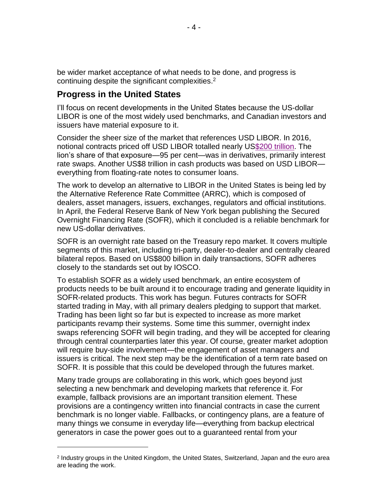be wider market acceptance of what needs to be done, and progress is continuing despite the significant complexities.<sup>2</sup>

### **Progress in the United States**

 $\overline{a}$ 

I'll focus on recent developments in the United States because the US-dollar LIBOR is one of the most widely used benchmarks, and Canadian investors and issuers have material exposure to it.

Consider the sheer size of the market that references USD LIBOR. In 2016, notional contracts priced off USD LIBOR totalled nearly U[S\\$200 trillion.](https://www.newyorkfed.org/medialibrary/Microsites/arrc/files/2018/ARRC-Second-report) The lion's share of that exposure—95 per cent—was in derivatives, primarily interest rate swaps. Another US\$8 trillion in cash products was based on USD LIBOR everything from floating-rate notes to consumer loans.

The work to develop an alternative to LIBOR in the United States is being led by the Alternative Reference Rate Committee (ARRC), which is composed of dealers, asset managers, issuers, exchanges, regulators and official institutions. In April, the Federal Reserve Bank of New York began publishing the Secured Overnight Financing Rate (SOFR), which it concluded is a reliable benchmark for new US-dollar derivatives.

SOFR is an overnight rate based on the Treasury repo market. It covers multiple segments of this market, including tri-party, dealer-to-dealer and centrally cleared bilateral repos. Based on US\$800 billion in daily transactions, SOFR adheres closely to the standards set out by IOSCO.

To establish SOFR as a widely used benchmark, an entire ecosystem of products needs to be built around it to encourage trading and generate liquidity in SOFR-related products. This work has begun. Futures contracts for SOFR started trading in May, with all primary dealers pledging to support that market. Trading has been light so far but is expected to increase as more market participants revamp their systems. Some time this summer, overnight index swaps referencing SOFR will begin trading, and they will be accepted for clearing through central counterparties later this year. Of course, greater market adoption will require buy-side involvement—the engagement of asset managers and issuers is critical. The next step may be the identification of a term rate based on SOFR. It is possible that this could be developed through the futures market.

Many trade groups are collaborating in this work, which goes beyond just selecting a new benchmark and developing markets that reference it. For example, fallback provisions are an important transition element. These provisions are a contingency written into financial contracts in case the current benchmark is no longer viable. Fallbacks, or contingency plans, are a feature of many things we consume in everyday life—everything from backup electrical generators in case the power goes out to a guaranteed rental from your

<sup>2</sup> Industry groups in the United Kingdom, the United States, Switzerland, Japan and the euro area are leading the work.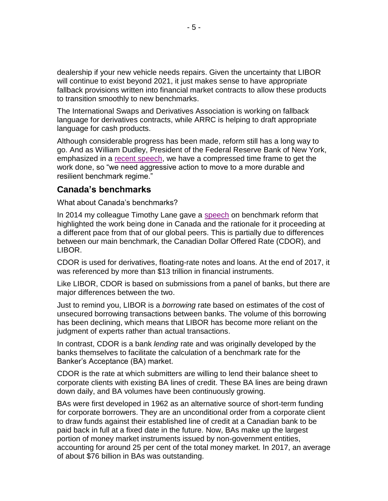dealership if your new vehicle needs repairs. Given the uncertainty that LIBOR will continue to exist beyond 2021, it just makes sense to have appropriate fallback provisions written into financial market contracts to allow these products to transition smoothly to new benchmarks.

The International Swaps and Derivatives Association is working on fallback language for derivatives contracts, while ARRC is helping to draft appropriate language for cash products.

Although considerable progress has been made, reform still has a long way to go. And as William Dudley, President of the Federal Reserve Bank of New York, emphasized in a [recent speech,](https://www.newyorkfed.org/newsevents/speeches/2018/dud180524) we have a compressed time frame to get the work done, so "we need aggressive action to move to a more durable and resilient benchmark regime."

#### **Canada's benchmarks**

What about Canada's benchmarks?

In 2014 my colleague Timothy Lane gave a [speech](https://www.bankofcanada.ca/?p=166913) on benchmark reform that highlighted the work being done in Canada and the rationale for it proceeding at a different pace from that of our global peers. This is partially due to differences between our main benchmark, the Canadian Dollar Offered Rate (CDOR), and LIBOR.

CDOR is used for derivatives, floating-rate notes and loans. At the end of 2017, it was referenced by more than \$13 trillion in financial instruments.

Like LIBOR, CDOR is based on submissions from a panel of banks, but there are major differences between the two.

Just to remind you, LIBOR is a *borrowing* rate based on estimates of the cost of unsecured borrowing transactions between banks. The volume of this borrowing has been declining, which means that LIBOR has become more reliant on the judgment of experts rather than actual transactions.

In contrast, CDOR is a bank *lending* rate and was originally developed by the banks themselves to facilitate the calculation of a benchmark rate for the Banker's Acceptance (BA) market.

CDOR is the rate at which submitters are willing to lend their balance sheet to corporate clients with existing BA lines of credit. These BA lines are being drawn down daily, and BA volumes have been continuously growing.

BAs were first developed in 1962 as an alternative source of short-term funding for corporate borrowers. They are an unconditional order from a corporate client to draw funds against their established line of credit at a Canadian bank to be paid back in full at a fixed date in the future. Now, BAs make up the largest portion of money market instruments issued by non-government entities, accounting for around 25 per cent of the total money market. In 2017, an average of about \$76 billion in BAs was outstanding.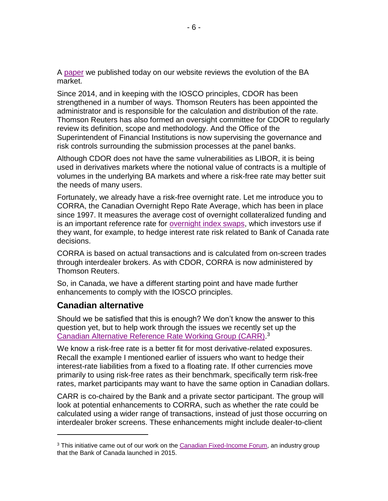A [paper](https://www.bankofcanada.ca/?p=199632) we published today on our website reviews the evolution of the BA market.

Since 2014, and in keeping with the IOSCO principles, CDOR has been strengthened in a number of ways. Thomson Reuters has been appointed the administrator and is responsible for the calculation and distribution of the rate. Thomson Reuters has also formed an oversight committee for CDOR to regularly review its definition, scope and methodology. And the Office of the Superintendent of Financial Institutions is now supervising the governance and risk controls surrounding the submission processes at the panel banks.

Although CDOR does not have the same vulnerabilities as LIBOR, it is being used in derivatives markets where the notional value of contracts is a multiple of volumes in the underlying BA markets and where a risk-free rate may better suit the needs of many users.

Fortunately, we already have a risk-free overnight rate. Let me introduce you to CORRA, the Canadian Overnight Repo Rate Average, which has been in place since 1997. It measures the average cost of overnight collateralized funding and is an important reference rate for [overnight index swaps,](https://www.bankofcanada.ca/?p=29551) which investors use if they want, for example, to hedge interest rate risk related to Bank of Canada rate decisions.

CORRA is based on actual transactions and is calculated from on-screen trades through interdealer brokers. As with CDOR, CORRA is now administered by Thomson Reuters.

So, in Canada, we have a different starting point and have made further enhancements to comply with the IOSCO principles.

#### **Canadian alternative**

 $\overline{a}$ 

Should we be satisfied that this is enough? We don't know the answer to this question yet, but to help work through the issues we recently set up the [Canadian Alternative Reference Rate](https://www.bankofcanada.ca/?p=197746) Working Group (CARR).<sup>3</sup>

We know a risk-free rate is a better fit for most derivative-related exposures. Recall the example I mentioned earlier of issuers who want to hedge their interest-rate liabilities from a fixed to a floating rate. If other currencies move primarily to using risk-free rates as their benchmark, specifically term risk-free rates, market participants may want to have the same option in Canadian dollars.

CARR is co-chaired by the Bank and a private sector participant. The group will look at potential enhancements to CORRA, such as whether the rate could be calculated using a wider range of transactions, instead of just those occurring on interdealer broker screens. These enhancements might include dealer-to-client

<sup>&</sup>lt;sup>3</sup> This initiative came out of our work on the [Canadian Fixed-Income Forum,](https://www.bankofcanada.ca/?p=182241) an industry group that the Bank of Canada launched in 2015.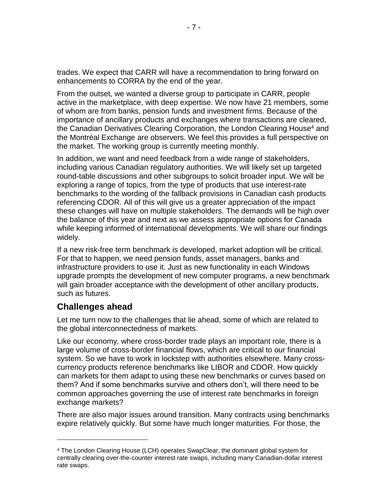trades. We expect that CARR will have a recommendation to bring forward on enhancements to CORRA by the end of the year.

From the outset, we wanted a diverse group to participate in CARR, people active in the marketplace, with deep expertise. We now have 21 members, some of whom are from banks, pension funds and investment firms. Because of the importance of ancillary products and exchanges where transactions are cleared, the Canadian Derivatives Clearing Corporation, the London Clearing House<sup>4</sup> and the Montréal Exchange are observers. We feel this provides a full perspective on the market. The working group is currently meeting monthly.

In addition, we want and need feedback from a wide range of stakeholders, including various Canadian regulatory authorities. We will likely set up targeted round-table discussions and other subgroups to solicit broader input. We will be exploring a range of topics, from the type of products that use interest-rate benchmarks to the wording of the fallback provisions in Canadian cash products referencing CDOR. All of this will give us a greater appreciation of the impact these changes will have on multiple stakeholders. The demands will be high over the balance of this year and next as we assess appropriate options for Canada while keeping informed of international developments. We will share our findings widely.

If a new risk-free term benchmark is developed, market adoption will be critical. For that to happen, we need pension funds, asset managers, banks and infrastructure providers to use it. Just as new functionality in each Windows upgrade prompts the development of new computer programs, a new benchmark will gain broader acceptance with the development of other ancillary products, such as futures.

## **Challenges ahead**

 $\overline{a}$ 

Let me turn now to the challenges that lie ahead, some of which are related to the global interconnectedness of markets.

Like our economy, where cross-border trade plays an important role, there is a large volume of cross-border financial flows, which are critical to our financial system. So we have to work in lockstep with authorities elsewhere. Many crosscurrency products reference benchmarks like LIBOR and CDOR. How quickly can markets for them adapt to using these new benchmarks or curves based on them? And if some benchmarks survive and others don't, will there need to be common approaches governing the use of interest rate benchmarks in foreign exchange markets?

There are also major issues around transition. Many contracts using benchmarks expire relatively quickly. But some have much longer maturities. For those, the

<sup>4</sup> The London Clearing House (LCH) operates SwapClear, the dominant global system for centrally clearing over-the-counter interest rate swaps, including many Canadian-dollar interest rate swaps.